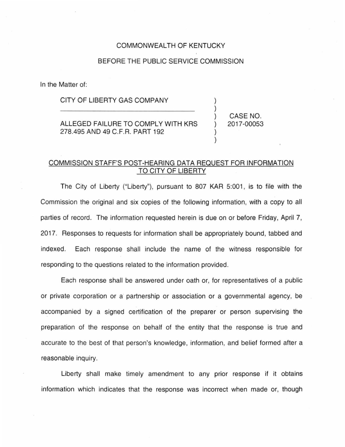#### COMMONWEALTH OF KENTUCKY

## BEFORE THE PUBLIC SERVICE COMMISSION

In the Matter of:

#### CITY OF LIBERTY GAS COMPANY

ALLEGED FAILURE TO COMPLY WITH KRS 278.495 AND 49 C.F.R. PART 192

) CASE NO. ) 2017-00053

) )

) )

### COMMISSION STAFF'S POST-HEARING DATA REQUEST FOR INFORMATION TO CITY OF LIBERTY

The City of Liberty ("Liberty"), pursuant to 807 KAR 5:001, is to file with the Commission the original and six copies of the following information, with a copy to all parties of record. The information requested herein is due on or before Friday, April 7, 2017. Responses to requests for information shall be appropriately bound, tabbed and indexed. Each response shall include the name of the witness responsible for responding to the questions related to the information provided.

Each response shall be answered under oath or, for representatives of a public or private corporation or a partnership or association or a governmental agency, be accompanied by a signed certification of the preparer or person supervising the preparation of the response on behalf of the entity that the response is true and accurate to the best of that person's knowledge, information, and belief formed after a reasonable inquiry.

Liberty shall make timely amendment to any prior response if it obtains information which indicates that the response was incorrect when made or, though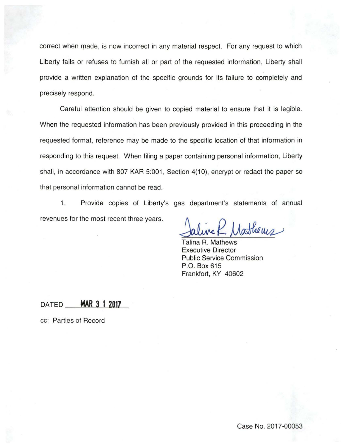correct when made, is now incorrect in any material respect. For any request to which Liberty fails or refuses to furnish all or part of the requested information, Liberty shall provide a written explanation of the specific grounds for its failure to completely and precisely respond.

Careful attention should be given to copied material to ensure that it is legible. When the requested information has been previously provided in this proceeding in the requested format, reference may be made to the specific location of that information in responding to this request. When filing a paper containing personal information, Liberty shall, in accordance with 807 KAR 5:001, Section 4(10), encrypt or redact the paper so that personal information cannot be read.

1. Provide copies of Liberty's gas department's statements of annual revenues for the most recent three years.

Jathems

Talina R. Mathews Executive Director Public Service Commission P.O. Box 615 Frankfort, KY 40602

# **DATED MAR 3 1 2017**

cc: Parties of Record